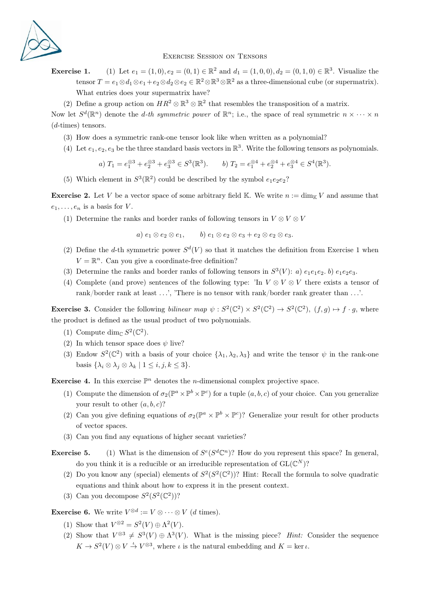

## Exercise Session on Tensors

**Exercise 1.** (1) Let  $e_1 = (1,0), e_2 = (0,1) \in \mathbb{R}^2$  and  $d_1 = (1,0,0), d_2 = (0,1,0) \in \mathbb{R}^3$ . Visualize the tensor  $T = e_1 \otimes d_1 \otimes e_1 + e_2 \otimes d_2 \otimes e_2 \in \mathbb{R}^2 \otimes \mathbb{R}^3 \otimes \mathbb{R}^2$  as a three-dimensional cube (or supermatrix). What entries does your supermatrix have?

(2) Define a group action on  $HR^2 \otimes \mathbb{R}^3 \otimes \mathbb{R}^2$  that resembles the transposition of a matrix.

Now let  $S^d(\mathbb{R}^n)$  denote the *d*-th symmetric power of  $\mathbb{R}^n$ ; i.e., the space of real symmetric  $n \times \cdots \times n$ (d-times) tensors.

- (3) How does a symmetric rank-one tensor look like when written as a polynomial?
- (4) Let  $e_1, e_2, e_3$  be the three standard basis vectors in  $\mathbb{R}^3$ . Write the following tensors as polynomials.

a) 
$$
T_1 = e_1^{\otimes 3} + e_2^{\otimes 3} + e_3^{\otimes 3} \in S^3(\mathbb{R}^3)
$$
. b)  $T_2 = e_1^{\otimes 4} + e_2^{\otimes 4} + e_3^{\otimes 4} \in S^4(\mathbb{R}^3)$ .

(5) Which element in  $S^3(\mathbb{R}^2)$  could be described by the symbol  $e_1e_2e_2$ ?

**Exercise 2.** Let V be a vector space of some arbitrary field K. We write  $n := \dim_{\mathbb{K}} V$  and assume that  $e_1, \ldots, e_n$  is a basis for V.

(1) Determine the ranks and border ranks of following tensors in  $V \otimes V \otimes V$ 

a)  $e_1 \otimes e_2 \otimes e_1$ , b)  $e_1 \otimes e_2 \otimes e_3 + e_2 \otimes e_2 \otimes e_3$ .

- (2) Define the d-th symmetric power  $S^{d}(V)$  so that it matches the definition from Exercise 1 when  $V = \mathbb{R}^n$ . Can you give a coordinate-free definition?
- (3) Determine the ranks and border ranks of following tensors in  $S^3(V)$ : a)  $e_1e_1e_2$ . b)  $e_1e_2e_3$ .
- (4) Complete (and prove) sentences of the following type: 'In  $V \otimes V \otimes V$  there exists a tensor of rank/border rank at least  $\dots$ , 'There is no tensor with rank/border rank greater than  $\dots$ '.

**Exercise 3.** Consider the following bilinear map  $\psi : S^2(\mathbb{C}^2) \times S^2(\mathbb{C}^2) \to S^2(\mathbb{C}^2)$ ,  $(f, g) \mapsto f \cdot g$ , where the product is defined as the usual product of two polynomials.

- (1) Compute dim<sub>C</sub>  $S^2(\mathbb{C}^2)$ .
- (2) In which tensor space does  $\psi$  live?
- (3) Endow  $S^2(\mathbb{C}^2)$  with a basis of your choice  $\{\lambda_1, \lambda_2, \lambda_3\}$  and write the tensor  $\psi$  in the rank-one basis  $\{\lambda_i \otimes \lambda_j \otimes \lambda_k \mid 1 \leq i, j, k \leq 3\}.$

**Exercise 4.** In this exercise  $\mathbb{P}^n$  denotes the *n*-dimensional complex projective space.

- (1) Compute the dimension of  $\sigma_2(\mathbb{P}^a \times \mathbb{P}^b \times \mathbb{P}^c)$  for a tuple  $(a, b, c)$  of your choice. Can you generalize your result to other  $(a, b, c)$ ?
- (2) Can you give defining equations of  $\sigma_2(\mathbb{P}^a \times \mathbb{P}^b \times \mathbb{P}^c)$ ? Generalize your result for other products of vector spaces.
- (3) Can you find any equations of higher secant varieties?
- **Exercise 5.** (1) What is the dimension of  $S^e(S^d\mathbb{C}^n)$ ? How do you represent this space? In general, do you think it is a reducible or an irreducible representation of  $GL(\mathbb{C}^N)$ ?
	- (2) Do you know any (special) elements of  $S^2(S^2(\mathbb{C}^2))$ ? Hint: Recall the formula to solve quadratic equations and think about how to express it in the present context.
	- (3) Can you decompose  $S^2(S^2(\mathbb{C}^2))$ ?

**Exercise 6.** We write  $V^{\otimes d} := V \otimes \cdots \otimes V$  (*d* times).

- (1) Show that  $V^{\otimes 2} = S^2(V) \oplus \Lambda^2(V)$ .
- (2) Show that  $V^{\otimes 3} \neq S^3(V) \oplus \Lambda^3(V)$ . What is the missing piece? *Hint:* Consider the sequence  $K \to S^2(V) \otimes V \stackrel{\iota}{\to} V^{\otimes 3}$ , where  $\iota$  is the natural embedding and  $K = \ker \iota$ .